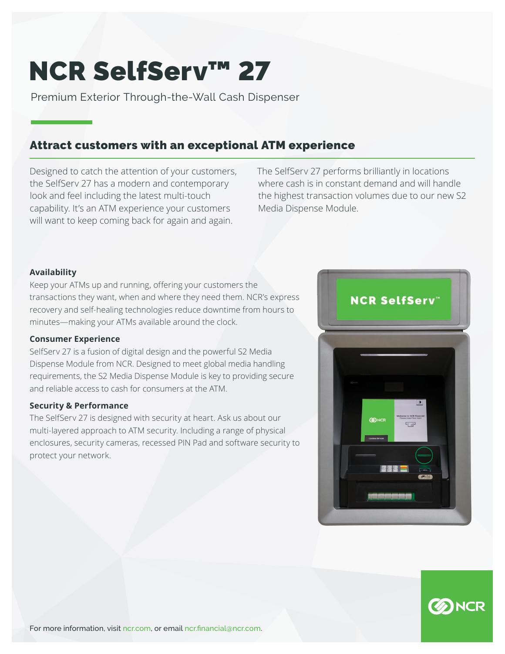# NCR SelfServ™ 27

Premium Exterior Through-the-Wall Cash Dispenser

# Attract customers with an exceptional ATM experience

Designed to catch the attention of your customers, the SelfServ 27 has a modern and contemporary look and feel including the latest multi-touch capability. It's an ATM experience your customers will want to keep coming back for again and again.

The SelfServ 27 performs brilliantly in locations where cash is in constant demand and will handle the highest transaction volumes due to our new S2 Media Dispense Module.

## **Availability**

Keep your ATMs up and running, offering your customers the transactions they want, when and where they need them. NCR's express recovery and self-healing technologies reduce downtime from hours to minutes—making your ATMs available around the clock.

## **Consumer Experience**

SelfServ 27 is a fusion of digital design and the powerful S2 Media Dispense Module from NCR. Designed to meet global media handling requirements, the S2 Media Dispense Module is key to providing secure and reliable access to cash for consumers at the ATM.

## **Security & Performance**

The SelfServ 27 is designed with security at heart. Ask us about our multi-layered approach to ATM security. Including a range of physical enclosures, security cameras, recessed PIN Pad and software security to protect your network.